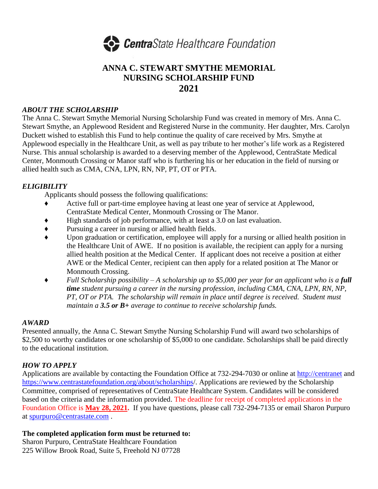

## **ANNA C. STEWART SMYTHE MEMORIAL NURSING SCHOLARSHIP FUND 2021**

#### *ABOUT THE SCHOLARSHIP*

The Anna C. Stewart Smythe Memorial Nursing Scholarship Fund was created in memory of Mrs. Anna C. Stewart Smythe, an Applewood Resident and Registered Nurse in the community. Her daughter, Mrs. Carolyn Duckett wished to establish this Fund to help continue the quality of care received by Mrs. Smythe at Applewood especially in the Healthcare Unit, as well as pay tribute to her mother's life work as a Registered Nurse. This annual scholarship is awarded to a deserving member of the Applewood, CentraState Medical Center, Monmouth Crossing or Manor staff who is furthering his or her education in the field of nursing or allied health such as CMA, CNA, LPN, RN, NP, PT, OT or PTA.

### *ELIGIBILITY*

Applicants should possess the following qualifications:

- ♦ Active full or part-time employee having at least one year of service at Applewood, CentraState Medical Center, Monmouth Crossing or The Manor.
- ♦ High standards of job performance, with at least a 3.0 on last evaluation.
- ♦ Pursuing a career in nursing or allied health fields.
- ♦ Upon graduation or certification, employee will apply for a nursing or allied health position in the Healthcare Unit of AWE. If no position is available, the recipient can apply for a nursing allied health position at the Medical Center. If applicant does not receive a position at either AWE or the Medical Center, recipient can then apply for a related position at The Manor or Monmouth Crossing.
- ♦ *Full Scholarship possibility – A scholarship up to \$5,000 per year for an applicant who is a full time student pursuing a career in the nursing profession, including CMA, CNA, LPN, RN, NP, PT, OT or PTA. The scholarship will remain in place until degree is received. Student must maintain a 3.5 or B+ average to continue to receive scholarship funds.*

#### *AWARD*

Presented annually, the Anna C. Stewart Smythe Nursing Scholarship Fund will award two scholarships of \$2,500 to worthy candidates or one scholarship of \$5,000 to one candidate. Scholarships shall be paid directly to the educational institution.

#### *HOW TO APPLY*

Applications are available by contacting the Foundation Office at 732-294-7030 or online at [http://centranet](http://centranet/) and <https://www.centrastatefoundation.org/about/scholarships/>. Applications are reviewed by the Scholarship Committee, comprised of representatives of CentraState Healthcare System. Candidates will be considered based on the criteria and the information provided. The deadline for receipt of completed applications in the Foundation Office is **May 28, 2021.** If you have questions, please call 732-294-7135 or email Sharon Purpuro at [spurpuro@centrastate.com](mailto:spurpuro@centrastate.com) .

#### **The completed application form must be returned to:**

Sharon Purpuro, CentraState Healthcare Foundation 225 Willow Brook Road, Suite 5, Freehold NJ 07728